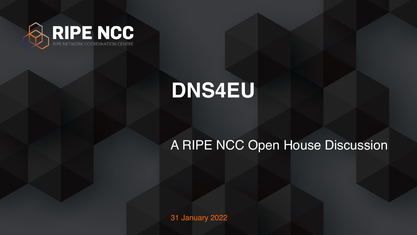31 January 2022

### A RIPE NCC Open House Discussion



### **DNS4EU**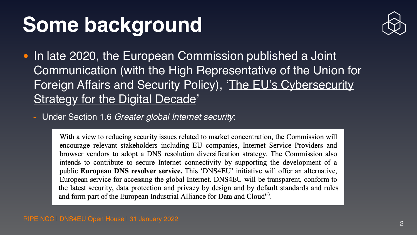### **Some background**

• In late 2020, the European Commission published a Joint Foreign Affairs and Security Policy), 'The EU's Cybersecurity [Strategy for the Digital Decade](https://digital-strategy.ec.europa.eu/en/library/eus-cybersecurity-strategy-digital-decade-0)'

# Communication (with the High Representative of the Union for



- Under Section 1.6 *Greater global Internet security*:

With a view to reducing security issues related to market concentration, the Commission will encourage relevant stakeholders including EU companies, Internet Service Providers and browser vendors to adopt a DNS resolution diversification strategy. The Commission also intends to contribute to secure Internet connectivity by supporting the development of a public European DNS resolver service. This 'DNS4EU' initiative will offer an alternative, European service for accessing the global Internet. DNS4EU will be transparent, conform to the latest security, data protection and privacy by design and by default standards and rules and form part of the European Industrial Alliance for Data and Cloud<sup>63</sup>.

RIPE NCC | DNS4EU Open House | 31 January 2022 | 2009 | 2010 | 2010 | 2010 | 2010 | 2010 | 2010 | 2010 | 2010 | 2010 | 2010 | 2010 | 2010 | 2010 | 2010 | 2010 | 2010 | 2010 | 2010 | 2010 | 2010 | 2010 | 2010 | 2010 | 2010



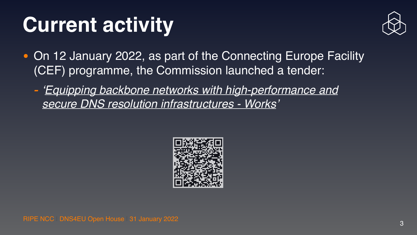

### **Current activity**

- On 12 January 2022, as part of the Connecting Europe Facility (CEF) programme, the Commission launched a tender:
	- *- ['Equipping backbone networks with high-performance and](https://ec.europa.eu/info/funding-tenders/opportunities/portal/screen/opportunities/topic-details/cef-dig-2021-cloud-dns-works)  [secure DNS resolution infrastructures - Works](https://ec.europa.eu/info/funding-tenders/opportunities/portal/screen/opportunities/topic-details/cef-dig-2021-cloud-dns-works)'*

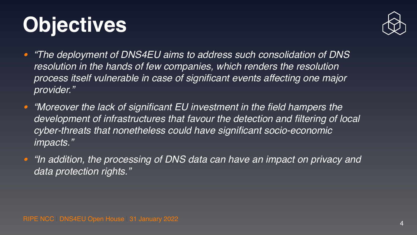### **Objectives**

- *• "The deployment of DNS4EU aims to address such consolidation of DNS*  resolution in the hands of few companies, which renders the resolution *process itself vulnerable in case of significant events affecting one major provider."*
- *• "Moreover the lack of significant EU investment in the field hampers the cyber-threats that nonetheless could have significant socio-economic impacts."*
- *• "In addition, the processing of DNS data can have an impact on privacy and data protection rights."*

RIPE NCC | DNS4EU Open House | 31 January 2022



development of infrastructures that favour the detection and filtering of local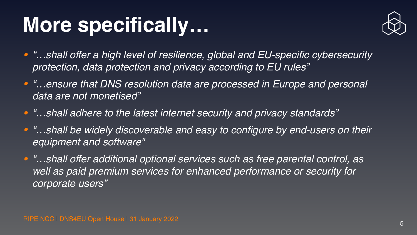



# **More specifically…**

*• "…shall offer a high level of resilience, global and EU-specific cybersecurity* 

*• "…ensure that DNS resolution data are processed in Europe and personal* 

**•** "...shall be widely discoverable and easy to configure by end-users on their

- *protection, data protection and privacy according to EU rules"*
- *data are not monetised"*
- *• "…shall adhere to the latest internet security and privacy standards"*
- *equipment and software"*
- *• "…shall offer additional optional services such as free parental control, as*  well as paid premium services for enhanced performance or security for *corporate users"*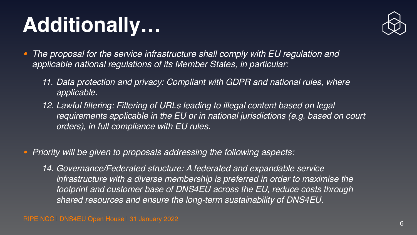

### **Additionally…**

*11. Data protection and privacy: Compliant with GDPR and national rules, where* 

- *• The proposal for the service infrastructure shall comply with EU regulation and applicable national regulations of its Member States, in particular:* 
	- *applicable.*
	- *12. Lawful filtering: Filtering of URLs leading to illegal content based on legal orders), in full compliance with EU rules.*

*requirements applicable in the EU or in national jurisdictions (e.g. based on court* 

### *• Priority will be given to proposals addressing the following aspects:*

*14. Governance/Federated structure: A federated and expandable service*  infrastructure with a diverse membership is preferred in order to maximise the *footprint and customer base of DNS4EU across the EU, reduce costs through shared resources and ensure the long-term sustainability of DNS4EU.*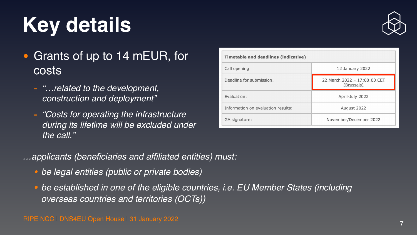

| <b>Timetable and deadlines (indicative)</b> |                                                   |
|---------------------------------------------|---------------------------------------------------|
| Call opening:                               | 12 January 2022                                   |
| Deadline for submission:                    | 22 March 2022 - 17:00:00 CET<br><u>(Brussels)</u> |
| Evaluation:                                 | April-July 2022                                   |
| Information on evaluation results:          | August 2022                                       |
| <b>GA signature:</b>                        | November/December 2022                            |

### **Key details**

- Grants of up to 14 mEUR, for costs
	- *- "…related to the development, construction and deployment"*
	- *- "Costs for operating the infrastructure during its lifetime will be excluded under the call."*
- *…applicants (beneficiaries and affiliated entities) must:* 
	- *• be legal entities (public or private bodies)*
	- *overseas countries and territories (OCTs))*

*• be established in one of the eligible countries, i.e. EU Member States (including*